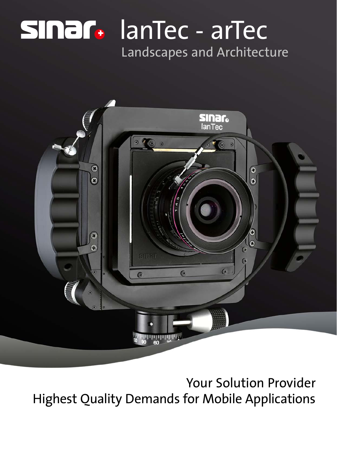# lanTec - arTec Landscapes and Architecture



Your Solution Provider Highest Quality Demands for Mobile Applications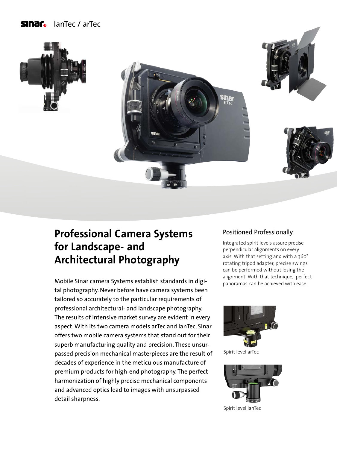# **Sinar** lanTec / arTec









# **Professional Camera Systems for Landscape- and Architectural Photography**

Mobile Sinar camera Systems establish standards in digital photography. Never before have camera systems been tailored so accurately to the particular requirements of professional architectural- and landscape photography. The results of intensive market survey are evident in every aspect. With its two camera models arTec and lanTec, Sinar offers two mobile camera systems that stand out for their superb manufacturing quality and precision. These unsurpassed precision mechanical masterpieces are the result of decades of experience in the meticulous manufacture of premium products for high-end photography. The perfect harmonization of highly precise mechanical components and advanced optics lead to images with unsurpassed detail sharpness.

#### Positioned Professionally

Integrated spirit levels assure precise perpendicular alignments on every axis. With that setting and with a 360° rotating tripod adapter, precise swings can be performed without losing the alignment. With that technique, perfect panoramas can be achieved with ease.



Spirit level arTec



Spirit level lanTec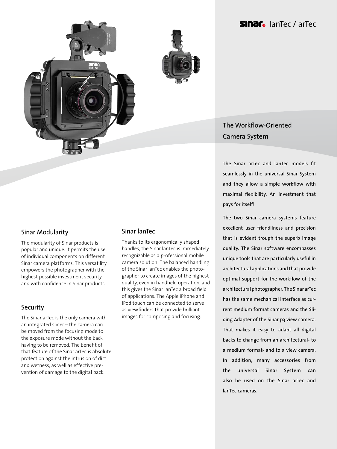### **Sinar** lanTec / arTec



#### Sinar Modularity

The modularity of Sinar products is popular and unique. It permits the use of individual components on different Sinar camera platforms. This versatility empowers the photographer with the highest possible investment security and with confidence in Sinar products.

#### **Security**

The Sinar arTec is the only camera with an integrated slider – the camera can be moved from the focusing mode to the exposure mode without the back having to be removed. The benefit of that feature of the Sinar arTec is absolute protection against the intrusion of dirt and wetness, as well as effective prevention of damage to the digital back.

#### Sinar lanTec

Thanks to its ergonomically shaped handles, the Sinar lanTec is immediately recognizable as a professional mobile camera solution. The balanced handling of the Sinar lanTec enables the photographer to create images of the highest quality, even in handheld operation, and this gives the Sinar lanTec a broad field of applications. The Apple iPhone and iPod touch can be connected to serve as viewfinders that provide brilliant images for composing and focusing.

## The Workflow-Oriented Camera System

The Sinar arTec and lanTec models fit seamlessly in the universal Sinar System and they allow a simple workflow with maximal flexibility. An investment that pays for itself!

The two Sinar camera systems feature excellent user friendliness and precision that is evident trough the superb image quality. The Sinar software encompasses unique tools that are particularly useful in architectural applications and that provide optimal support for the workflow of the architectural photographer. The Sinar arTec has the same mechanical interface as current medium format cameras and the Sliding Adapter of the Sinar p3 view camera. That makes it easy to adapt all digital backs to change from an architectural- to a medium format- and to a view camera. In addition, many accessories from the universal Sinar System can also be used on the Sinar arTec and lanTec cameras.